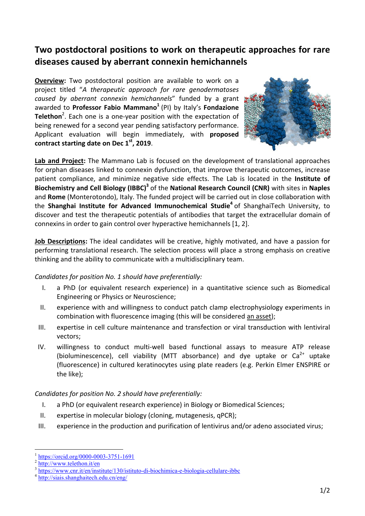## **Two postdoctoral positions to work on therapeutic approaches for rare diseases caused by aberrant connexin hemichannels**

**Overview:** Two postdoctoral position are available to work on a project titled "*A therapeutic approach for rare genodermatoses caused by aberrant connexin hemichannels*" funded by a grant awarded to **Professor Fabio Mammano<sup>1</sup> (PI) by Italy's <b>Fondazione** Telethon<sup>2</sup>. Each one is a one-year position with the expectation of being renewed for a second year pending satisfactory performance. Applicant evaluation will begin immediately, with **proposed contract starting date on Dec 1st, 2019**.



**Lab and Project:** The Mammano Lab is focused on the development of translational approaches for orphan diseases linked to connexin dysfunction, that improve therapeutic outcomes, increase patient compliance, and minimize negative side effects. The Lab is located in the **Institute of Biochemistry and Cell Biology (IBBC)3** of the **National Research Council (CNR)** with sites in **Naples** and **Rome** (Monterotondo), Italy. The funded project will be carried out in close collaboration with the **Shanghai Institute for Advanced Immunochemical Studie<sup>4</sup> of ShanghaiTech University, to** discover and test the therapeutic potentials of antibodies that target the extracellular domain of connexins in order to gain control over hyperactive hemichannels [1, 2].

**Job Descriptions:** The ideal candidates will be creative, highly motivated, and have a passion for performing translational research. The selection process will place a strong emphasis on creative thinking and the ability to communicate with a multidisciplinary team.

## *Candidates for position No. 1 should have preferentially:*

- I. a PhD (or equivalent research experience) in a quantitative science such as Biomedical Engineering or Physics or Neuroscience;
- II. experience with and willingness to conduct patch clamp electrophysiology experiments in combination with fluorescence imaging (this will be considered an asset);
- III. expertise in cell culture maintenance and transfection or viral transduction with lentiviral vectors;
- IV. willingness to conduct multi‐well based functional assays to measure ATP release (bioluminescence), cell viability (MTT absorbance) and dye uptake or  $Ca^{2+}$  uptake (fluorescence) in cultured keratinocytes using plate readers (e.g. Perkin Elmer ENSPIRE or the like);

## *Candidates for position No. 2 should have preferentially:*

- I. a PhD (or equivalent research experience) in Biology or Biomedical Sciences;
- II. expertise in molecular biology (cloning, mutagenesis, qPCR);
- III. experience in the production and purification of lentivirus and/or adeno associated virus;

 $\overline{a}$ 

https://orcid.org/0000-0003-3751-1691

http://www.telethon.it/en

https://www.cnr.it/en/institute/130/istituto-di-biochimica-e-biologia-cellulare-ibbc<br>http://siais.shanghaitech.edu.cn/eng/